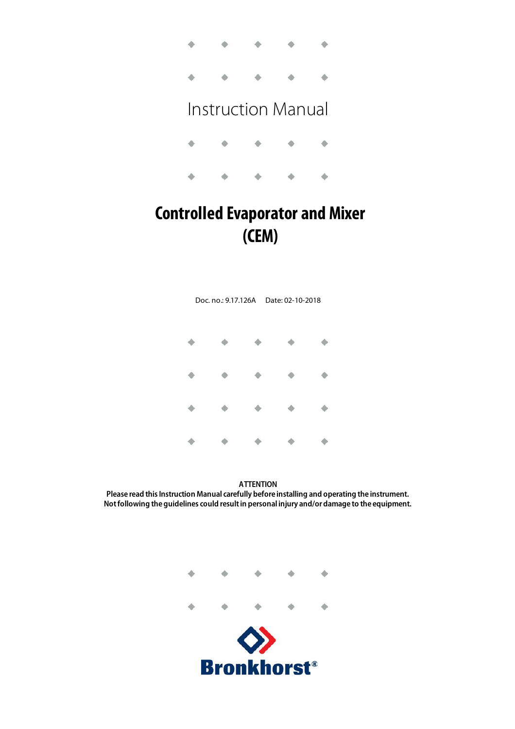

# **Controlled Evaporator and Mixer (CEM)**

Doc. no.: 9.17.126A Date: 02-10-2018 ۰ ۵ ۵ ۰

**ATTENTION Please read this Instruction Manual carefully before installing and operating the instrument. Not following the guidelines could result in personal injury and/or damage to the equipment.**

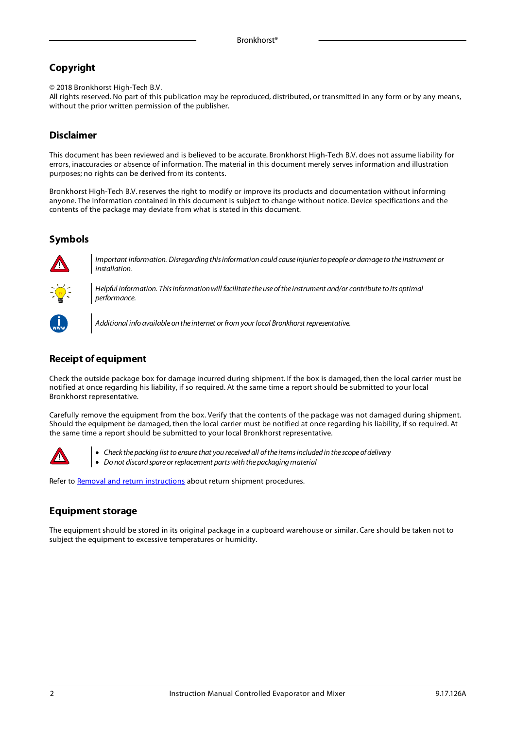# **Copyright**

© 2018 Bronkhorst High-Tech B.V.

All rights reserved. No part of this publication may be reproduced, distributed, or transmitted in any form or by any means, without the prior written permission of the publisher.

### **Disclaimer**

This document has been reviewed and is believed to be accurate. Bronkhorst High-Tech B.V. does not assume liability for errors, inaccuracies or absence of information. The material in this document merely serves information and illustration purposes; no rights can be derived from its contents.

Bronkhorst High-Tech B.V. reserves the right to modify or improve its products and documentation without informing anyone. The information contained in this document is subject to change without notice. Device specifications and the contents of the package may deviate from what is stated in this document.

### **Symbols**



Important information. Disregarding this information could cause injuries to people or damage to the instrument or installation.



Helpful information. This information will facilitate the use of the instrument and/or contribute to its optimal performance.



Additional info available on the internet or from your local Bronkhorst representative.

### **Receipt of equipment**

Check the outside package box for damage incurred during shipment. If the box is damaged, then the local carrier must be notified at once regarding his liability, if so required. At the same time a report should be submitted to your local Bronkhorst representative.

Carefully remove the equipment from the box. Verify that the contents of the package was not damaged during shipment. Should the equipment be damaged, then the local carrier must be notified at once regarding his liability, if so required. At the same time a report should be submitted to your local Bronkhorst representative.



· Check the packing list to ensure that you received all of the items included in the scope of delivery · Do not discard spare or replacement parts with the packaging material

Refer to [Removal and return instructions](#page-21-0) about return shipment procedures.

# **Equipment storage**

The equipment should be stored in its original package in a cupboard warehouse or similar. Care should be taken not to subject the equipment to excessive temperatures or humidity.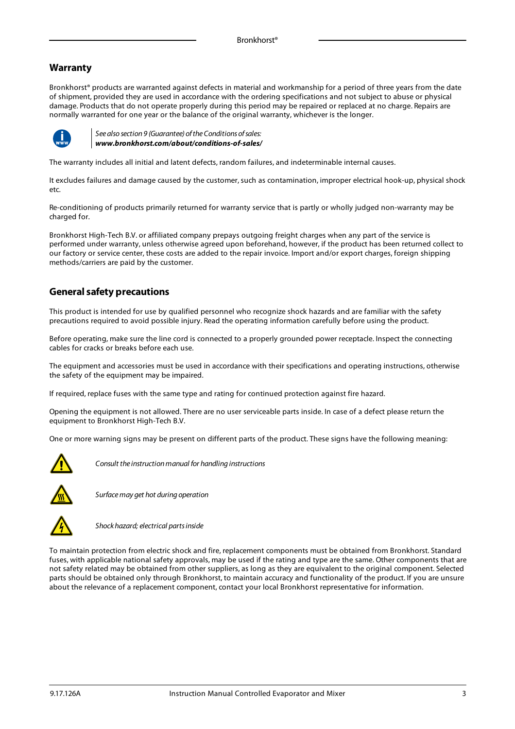### **Warranty**

Bronkhorst® products are warranted against defects in material and workmanship for a period of three years from the date of shipment, provided they are used in accordance with the ordering specifications and not subject to abuse or physical damage. Products that do not operate properly during this period may be repaired or replaced at no charge. Repairs are normally warranted for one year or the balance of the original warranty, whichever is the longer.



See also section 9 (Guarantee) of the Conditions of sales: **[www.bronkhorst.com/about/conditions-of-sales/](https://www.bronkhorst.com/about/conditions-of-sales/)**

The warranty includes all initial and latent defects, random failures, and indeterminable internal causes.

It excludes failures and damage caused by the customer, such as contamination, improper electrical hook-up, physical shock etc.

Re-conditioning of products primarily returned for warranty service that is partly or wholly judged non-warranty may be charged for.

Bronkhorst High-Tech B.V. or affiliated company prepays outgoing freight charges when any part of the service is performed under warranty, unless otherwise agreed upon beforehand, however, if the product has been returned collect to our factory or service center, these costs are added to the repair invoice. Import and/or export charges, foreign shipping methods/carriers are paid by the customer.

### **General safety precautions**

This product is intended for use by qualified personnel who recognize shock hazards and are familiar with the safety precautions required to avoid possible injury. Read the operating information carefully before using the product.

Before operating, make sure the line cord is connected to a properly grounded power receptacle. Inspect the connecting cables for cracks or breaks before each use.

The equipment and accessories must be used in accordance with their specifications and operating instructions, otherwise the safety of the equipment may be impaired.

If required, replace fuses with the same type and rating for continued protection against fire hazard.

Opening the equipment is not allowed. There are no user serviceable parts inside. In case of a defect please return the equipment to Bronkhorst High-Tech B.V.

One or more warning signs may be present on different parts of the product. These signs have the following meaning:



Consult the instruction manual for handling instructions



Surface may get hot during operation



Shock hazard; electrical parts inside

To maintain protection from electric shock and fire, replacement components must be obtained from Bronkhorst. Standard fuses, with applicable national safety approvals, may be used if the rating and type are the same. Other components that are not safety related may be obtained from other suppliers, as long as they are equivalent to the original component. Selected parts should be obtained only through Bronkhorst, to maintain accuracy and functionality of the product. If you are unsure about the relevance of a replacement component, contact your local Bronkhorst representative for information.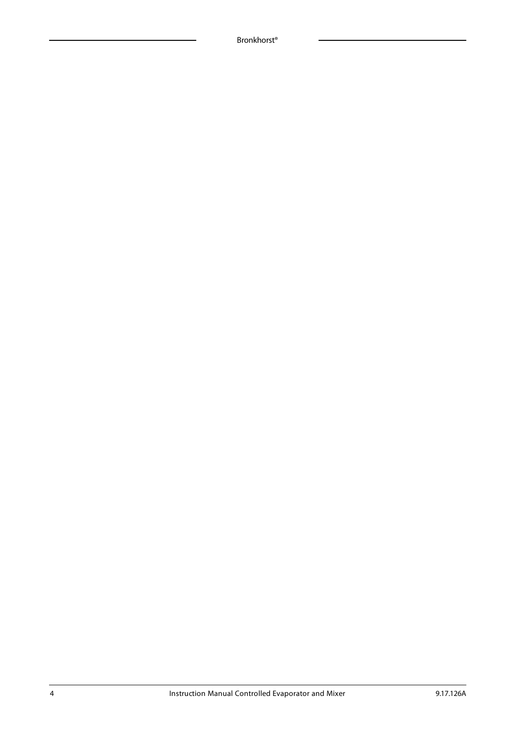Bronkhorst®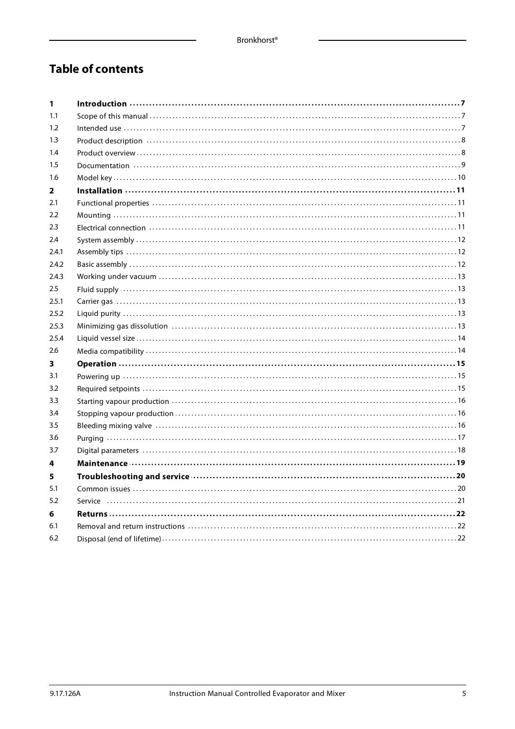# **Table of contents**

| 1            |                                                                                                                                                                                                                               |
|--------------|-------------------------------------------------------------------------------------------------------------------------------------------------------------------------------------------------------------------------------|
| 1.1          |                                                                                                                                                                                                                               |
| 1.2          |                                                                                                                                                                                                                               |
| 1.3          | Product description (and according to the control of the control of the control of the control of the control of the control of the control of the control of the control of the control of the control of the control of the |
| 1.4          |                                                                                                                                                                                                                               |
| 1.5          |                                                                                                                                                                                                                               |
| 1.6          |                                                                                                                                                                                                                               |
| $\mathbf{2}$ |                                                                                                                                                                                                                               |
| 2.1          |                                                                                                                                                                                                                               |
| 2.2          |                                                                                                                                                                                                                               |
| 2.3          |                                                                                                                                                                                                                               |
| 2.4          |                                                                                                                                                                                                                               |
| 2.4.1        |                                                                                                                                                                                                                               |
| 2.4.2        |                                                                                                                                                                                                                               |
| 2.4.3        |                                                                                                                                                                                                                               |
| 2.5          |                                                                                                                                                                                                                               |
| 2.5.1        |                                                                                                                                                                                                                               |
| 2.5.2        |                                                                                                                                                                                                                               |
| 2.5.3        |                                                                                                                                                                                                                               |
| 2.5.4        |                                                                                                                                                                                                                               |
| 2.6          |                                                                                                                                                                                                                               |
| 3            |                                                                                                                                                                                                                               |
| 3.1          |                                                                                                                                                                                                                               |
| 3.2          |                                                                                                                                                                                                                               |
| 3.3          |                                                                                                                                                                                                                               |
| 3.4          |                                                                                                                                                                                                                               |
| 3.5          |                                                                                                                                                                                                                               |
| 3.6          |                                                                                                                                                                                                                               |
| 3.7          |                                                                                                                                                                                                                               |
| 4            |                                                                                                                                                                                                                               |
| 5            |                                                                                                                                                                                                                               |
| 5.1          |                                                                                                                                                                                                                               |
| 5.2          |                                                                                                                                                                                                                               |
| 6            |                                                                                                                                                                                                                               |
| 6.1          |                                                                                                                                                                                                                               |
| 6.2          |                                                                                                                                                                                                                               |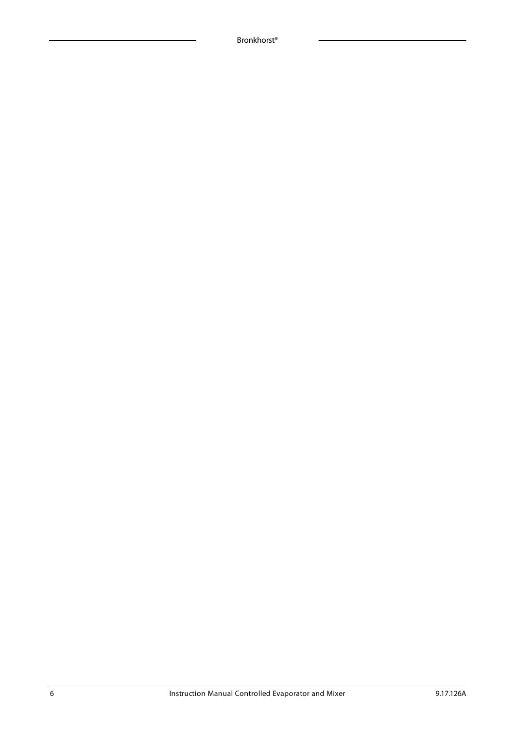Bronkhorst®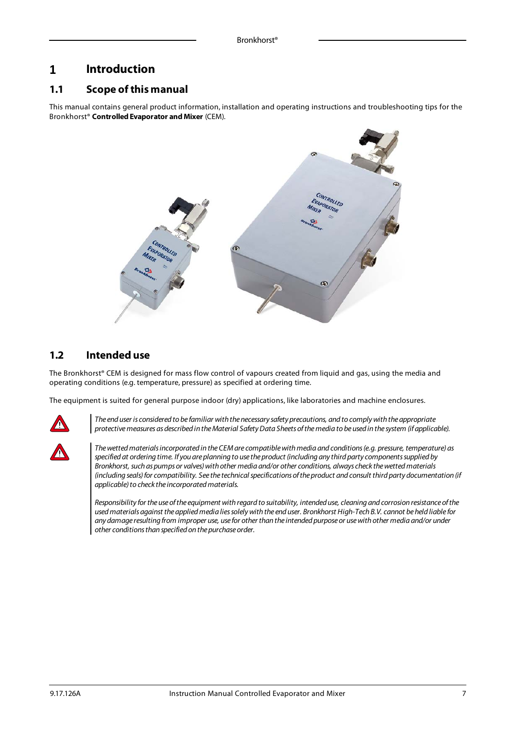# <span id="page-6-0"></span>**1 Introduction**

# **1.1 Scope of this manual**

This manual contains general product information, installation and operating instructions and troubleshooting tips for the Bronkhorst® **Controlled Evaporator and Mixer** (CEM).



### <span id="page-6-1"></span>**1.2 Intended use**

The Bronkhorst® CEM is designed for mass flow control of vapours created from liquid and gas, using the media and operating conditions (e.g. temperature, pressure) as specified at ordering time.

The equipment is suited for general purpose indoor (dry) applications, like laboratories and machine enclosures.



The end user is considered to be familiar with the necessary safety precautions, and to comply with the appropriate protective measures as described in the Material Safety Data Sheets of the media to be used in the system (if applicable).

The wetted materials incorporated in the CEM are compatible with media and conditions (e.g. pressure, temperature) as specified at ordering time. If you are planning to use the product (including any third party components supplied by Bronkhorst, such as pumps or valves) with other media and/or other conditions, always check the wetted materials (including seals) for compatibility. See the technical specifications of the product and consult third party documentation (if applicable) to check the incorporated materials.

Responsibility for the use of the equipment with regard to suitability, intended use, cleaning and corrosion resistance of the used materials against the applied media lies solely with the end user. Bronkhorst High-Tech B.V. cannot be held liable for any damage resulting from improper use, use for other than the intended purpose or use with other media and/or under other conditions than specified on the purchase order.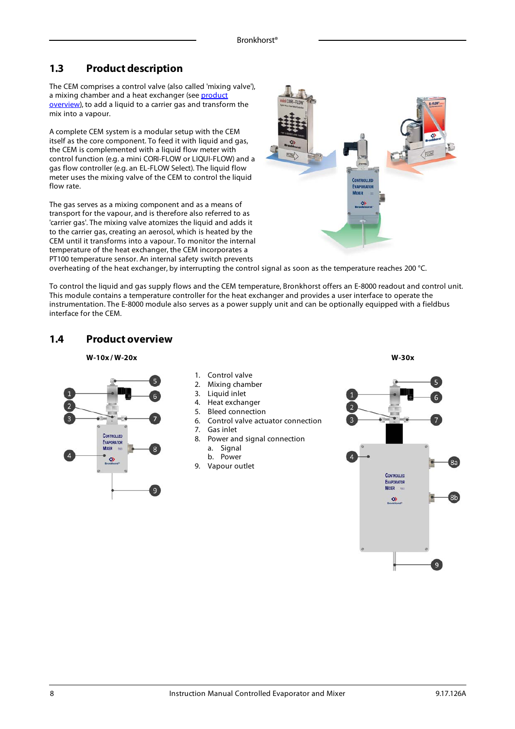# <span id="page-7-0"></span>**1.3 Product description**

The CEM comprises a control valve (also called 'mixing valve'), a mixing chamber and a heat exchanger (see [product](#page-7-1) [overview](#page-7-1)), to add a liquid to a carrier gas and transform the mix into a vapour.

A complete CEM system is a modular setup with the CEM itself as the core component. To feed it with liquid and gas, the CEM is complemented with a liquid flow meter with control function (e.g. a mini CORI-FLOW or LIQUI-FLOW) and a gas flow controller (e.g. an EL-FLOW Select). The liquid flow meter uses the mixing valve of the CEM to control the liquid flow rate.

The gas serves as a mixing component and as a means of transport for the vapour, and is therefore also referred to as 'carrier gas'. The mixing valve atomizes the liquid and adds it to the carrier gas, creating an aerosol, which is heated by the CEM until it transforms into a vapour. To monitor the internal temperature of the heat exchanger, the CEM incorporates a PT100 temperature sensor. An internal safety switch prevents



overheating of the heat exchanger, by interrupting the control signal as soon as the temperature reaches 200 °C.

To control the liquid and gas supply flows and the CEM temperature, Bronkhorst offers an E-8000 readout and control unit. This module contains a temperature controller for the heat exchanger and provides a user interface to operate the instrumentation. The E-8000 module also serves as a power supply unit and can be optionally equipped with a fieldbus interface for the CEM.

### <span id="page-7-1"></span>**1.4 Product overview**

#### **W-10x / W-20x W-30x**



- 1. Control valve
- 2. Mixing chamber
- 3. Liquid inlet
- 4. Heat exchanger
- 5. Bleed connection
- 6. Control valve actuator connection
- 7. Gas inlet
- 8. Power and signal connection a. Signal b. Power
- 9. Vapour outlet



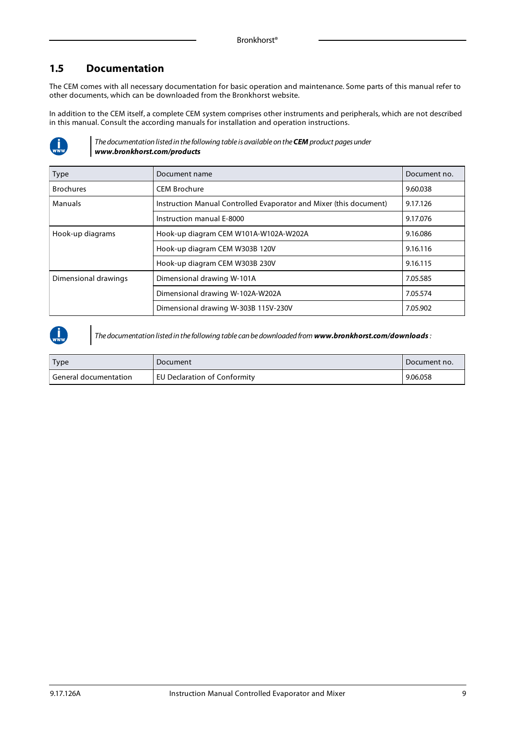# <span id="page-8-0"></span>**1.5 Documentation**

The CEM comes with all necessary documentation for basic operation and maintenance. Some parts of this manual refer to other documents, which can be downloaded from the Bronkhorst website.

In addition to the CEM itself, a complete CEM system comprises other instruments and peripherals, which are not described in this manual. Consult the according manuals for installation and operation instructions.



The documentation listed in the following table is available on the **CEM** product pages under **www.bronkhorst.com/products**

| <b>Type</b>          | Document name                                                      | Document no. |
|----------------------|--------------------------------------------------------------------|--------------|
| <b>Brochures</b>     | <b>CEM Brochure</b>                                                | 9.60.038     |
| Manuals              | Instruction Manual Controlled Evaporator and Mixer (this document) | 9.17.126     |
|                      | Instruction manual E-8000                                          | 9.17.076     |
| Hook-up diagrams     | Hook-up diagram CEM W101A-W102A-W202A                              | 9.16.086     |
|                      | Hook-up diagram CEM W303B 120V                                     | 9.16.116     |
|                      | Hook-up diagram CEM W303B 230V                                     | 9.16.115     |
| Dimensional drawings | Dimensional drawing W-101A                                         | 7.05.585     |
|                      | Dimensional drawing W-102A-W202A                                   | 7.05.574     |
|                      | Dimensional drawing W-303B 115V-230V                               | 7.05.902     |



The documentation listed in the following table can be downloaded from **www.bronkhorst.com/downloads** :

| Type                  | Document                     | Document no. |
|-----------------------|------------------------------|--------------|
| General documentation | EU Declaration of Conformity | 9.06.058     |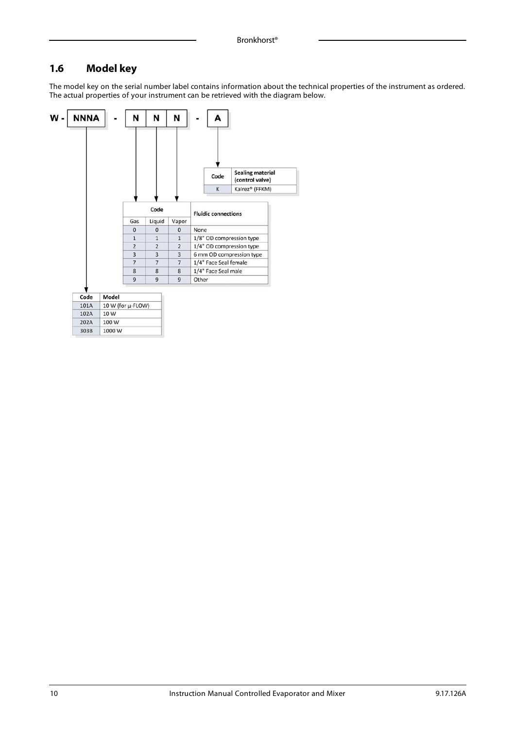### <span id="page-9-0"></span>**1.6 Model key**

303B

1000 W

The model key on the serial number label contains information about the technical properties of the instrument as ordered. The actual properties of your instrument can be retrieved with the diagram below.

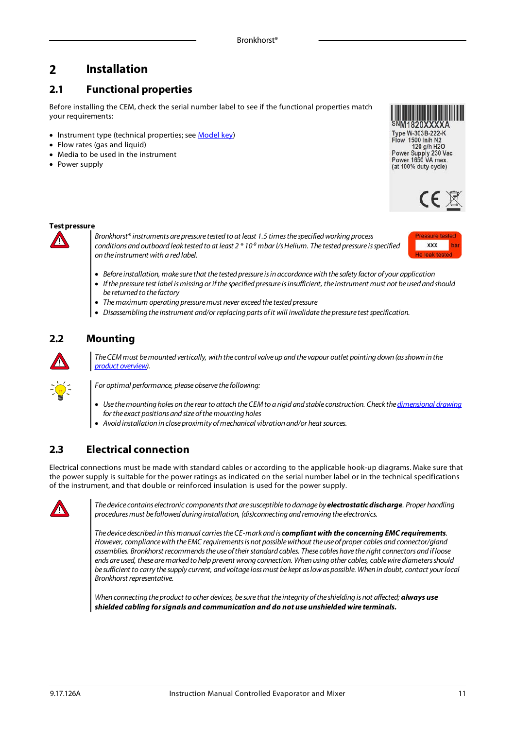# <span id="page-10-0"></span>**2 Installation**

# <span id="page-10-1"></span>**2.1 Functional properties**

Before installing the CEM, check the serial number label to see if the functional properties match your requirements:

- Instrument type (technical properties; see [Model key](#page-9-0))
- · Flow rates (gas and liquid)
- · Media to be used in the instrument
- · Power supply





#### **Test pressure**

Bronkhorst® instruments are pressure tested to at least 1.5 times the specified working process conditions and outboard leak tested to at least  $2 * 10<sup>-9</sup>$  mbar l/s Helium. The tested pressure is specified on the instrument with a red label.



- · Before installation, make sure that the tested pressure is in accordance with the safety factor of your application
- · If the pressure test label is missing or if the specified pressure is insufficient, the instrument must not be used and should be returned to the factory
- The maximum operating pressure must never exceed the tested pressure
- · Disassembling the instrument and/or replacing parts of it will invalidate the pressure test specification.

### <span id="page-10-2"></span>**2.2 Mounting**



The CEM must be mounted vertically, with the control valve up and the vapour outlet pointing down (as shown in the [product overview\)](#page-7-1).



For optimal performance, please observe the following:

- Use the mounting holes on the rear to attach the CEM to a rigid and stable construction. Check the [dimensional drawing](#page-8-0) for the exact positions and size of the mounting holes
- Avoid installation in close proximity of mechanical vibration and/or heat sources.

# <span id="page-10-3"></span>**2.3 Electrical connection**

Electrical connections must be made with standard cables or according to the applicable hook-up diagrams. Make sure that the power supply is suitable for the power ratings as indicated on the serial number label or in the technical specifications of the instrument, and that double or reinforced insulation is used for the power supply.



The device contains electronic components that are susceptible to damage by **electrostatic discharge**. Proper handling procedures must be followed during installation, (dis)connecting and removing the electronics.

The device described in this manual carries the CE-mark and is **compliant with the concerning EMC requirements**. However, compliance with the EMC requirements is not possible without the use of proper cables and connector/gland assemblies. Bronkhorst recommends the use of their standard cables. These cables have the right connectors and if loose ends are used, these are marked to help prevent wrong connection. When using other cables, cable wire diameters should be sufficient to carry the supply current, and voltage loss must be kept as low as possible. When in doubt, contact your local Bronkhorst representative.

When connecting the product to other devices, be sure that the integrity of the shielding is not affected; **always use shielded cabling for signals and communication and do not use unshielded wire terminals.**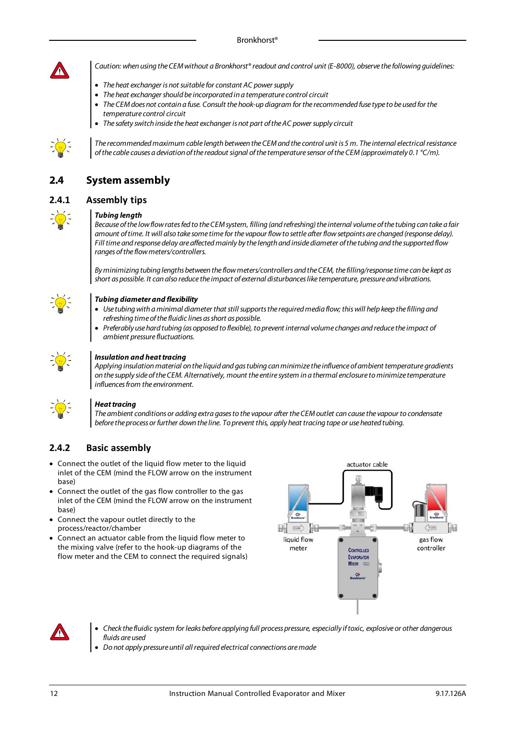

Caution: when using the CEM without a Bronkhorst® readout and control unit (E-8000), observe the following guidelines:

- The heat exchanger is not suitable for constant AC power supply
- The heat exchanger should be incorporated in a temperature control circuit
- The CEM does not contain a fuse. Consult the hook-up diagram for the recommended fuse type to be used for the temperature control circuit
- The safety switch inside the heat exchanger is not part of the AC power supply circuit



The recommended maximum cable length between the CEM and the control unit is 5 m. The internal electrical resistance of the cable causes a deviation of the readout signal of the temperature sensor of the CEM (approximately 0.1 °C/m).

### <span id="page-11-0"></span>**2.4 System assembly**

### **2.4.1 Assembly tips**



#### **Tubing length**

Because of the low flow rates fed to the CEM system, filling (and refreshing) the internal volume of the tubing can take a fair amount of time. It will also take some time for the vapour flow to settle after flow setpoints are changed (response delay). Fill time and response delay are affected mainly by the length and inside diameter of the tubing and the supported flow ranges of the flow meters/controllers.

By minimizing tubing lengths between the flow meters/controllers and the CEM, the filling/response time can be kept as short as possible. It can also reduce the impact of external disturbances like temperature, pressure and vibrations.



#### **Tubing diameter and flexibility**

- · Use tubing with a minimal diameter that still supports the required media flow; this will help keep the filling and refreshing time of the fluidic lines as short as possible.
- · Preferably use hard tubing (as opposed to flexible), to prevent internal volume changes and reduce the impact of ambient pressure fluctuations.



#### **Insulation and heat tracing**

Applying insulation material on the liquid and gas tubing can minimize the influence of ambient temperature gradients on the supply side of the CEM. Alternatively, mount the entire system in a thermal enclosure to minimize temperature influences from the environment.



#### **Heat tracing**

The ambient conditions or adding extra gases to the vapour after the CEM outlet can cause the vapour to condensate before the process or further down the line. To prevent this, apply heat tracing tape or use heated tubing.

#### <span id="page-11-1"></span>**2.4.2 Basic assembly**

- · Connect the outlet of the liquid flow meter to the liquid inlet of the CEM (mind the FLOW arrow on the instrument base)
- · Connect the outlet of the gas flow controller to the gas inlet of the CEM (mind the FLOW arrow on the instrument base)
- · Connect the vapour outlet directly to the process/reactor/chamber
- Connect an actuator cable from the liquid flow meter to the mixing valve (refer to the hook-up diagrams of the flow meter and the CEM to connect the required signals)





- · Check the fluidic system for leaks before applying full process pressure, especially if toxic, explosive or other dangerous fluids are used
- · Do not apply pressure until all required electrical connections are made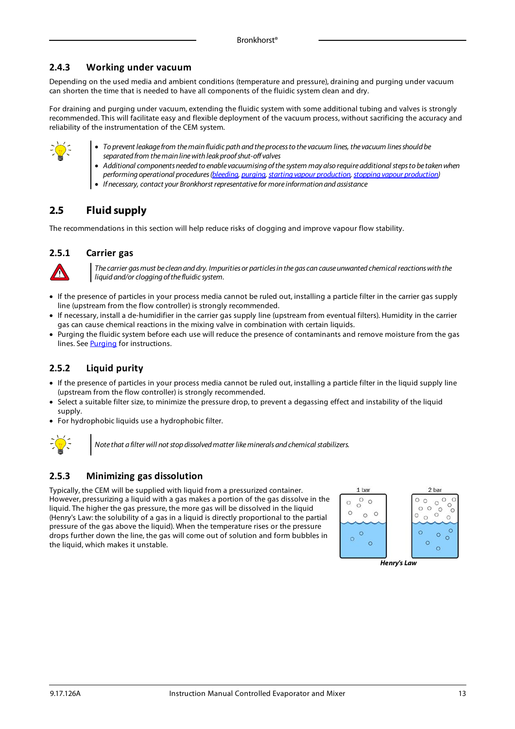### <span id="page-12-0"></span>**2.4.3 Working under vacuum**

Depending on the used media and ambient conditions (temperature and pressure), draining and purging under vacuum can shorten the time that is needed to have all components of the fluidic system clean and dry.

For draining and purging under vacuum, extending the fluidic system with some additional tubing and valves is strongly recommended. This will facilitate easy and flexible deployment of the vacuum process, without sacrificing the accuracy and reliability of the instrumentation of the CEM system.



- · To prevent leakage from the main fluidic path and the process to the vacuum lines, the vacuum lines should be separated from the main line with leak proof shut-off valves
- Additional components needed to enable vacuumising of the system may also require additional steps to be taken when performing operational procedures [\(bleeding](#page-15-2), [purging,](#page-16-0) [starting vapour production](#page-15-0), [stopping vapour production](#page-15-1))
- · If necessary, contact your Bronkhorst representative for more information and assistance

# <span id="page-12-1"></span>**2.5 Fluid supply**

The recommendations in this section will help reduce risks of clogging and improve vapour flow stability.

### <span id="page-12-2"></span>**2.5.1 Carrier gas**



The carrier gas must be clean and dry. Impurities or particles in the gas can cause unwanted chemical reactions with the liquid and/or clogging of the fluidic system.

- · If the presence of particles in your process media cannot be ruled out, installing a particle filter in the carrier gas supply line (upstream from the flow controller) is strongly recommended.
- · If necessary, install a de-humidifier in the carrier gas supply line (upstream from eventual filters). Humidity in the carrier gas can cause chemical reactions in the mixing valve in combination with certain liquids.
- · Purging the fluidic system before each use will reduce the presence of contaminants and remove moisture from the gas lines. See **[Purging](#page-16-0)** for instructions.

### <span id="page-12-3"></span>**2.5.2 Liquid purity**

- · If the presence of particles in your process media cannot be ruled out, installing a particle filter in the liquid supply line (upstream from the flow controller) is strongly recommended.
- · Select a suitable filter size, to minimize the pressure drop, to prevent a degassing effect and instability of the liquid supply.
- For hydrophobic liquids use a hydrophobic filter.



Note that a filter will not stop dissolved matter like minerals and chemical stabilizers.

### <span id="page-12-4"></span>**2.5.3 Minimizing gas dissolution**

Typically, the CEM will be supplied with liquid from a pressurized container. However, pressurizing a liquid with a gas makes a portion of the gas dissolve in the liquid. The higher the gas pressure, the more gas will be dissolved in the liquid (Henry's Law: the solubility of a gas in a liquid is directly proportional to the partial pressure of the gas above the liquid). When the temperature rises or the pressure drops further down the line, the gas will come out of solution and form bubbles in the liquid, which makes it unstable.



**Henry's Law**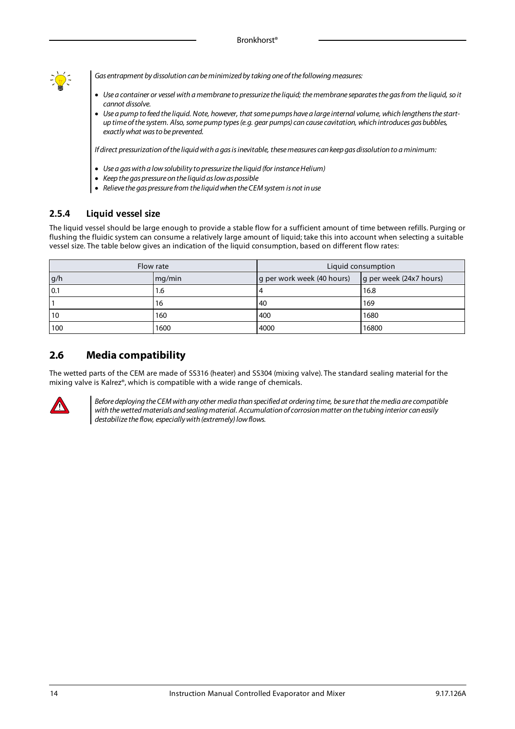

Gas entrapment by dissolution can be minimized by taking one of the following measures:

- · Use a container or vessel with a membrane to pressurize the liquid; the membrane separates the gas from the liquid, so it cannot dissolve.
- · Use a pump to feed the liquid. Note, however, that some pumps have a large internal volume, which lengthens the startup time of the system. Also, some pump types (e.g. gear pumps) can cause cavitation, which introduces gas bubbles, exactly what was to be prevented.

If direct pressurization of the liquid with a gas is inevitable, these measures can keep gas dissolution to a minimum:

- · Use a gas with a low solubility to pressurize the liquid (for instance Helium)
- · Keep the gas pressure on the liquid as low as possible
- Relieve the gas pressure from the liquid when the CEM system is not in use

#### <span id="page-13-0"></span>**2.5.4 Liquid vessel size**

The liquid vessel should be large enough to provide a stable flow for a sufficient amount of time between refills. Purging or flushing the fluidic system can consume a relatively large amount of liquid; take this into account when selecting a suitable vessel size. The table below gives an indication of the liquid consumption, based on different flow rates:

|     | Flow rate | Liquid consumption         |                         |  |
|-----|-----------|----------------------------|-------------------------|--|
| g/h | mg/min    | g per work week (40 hours) | g per week (24x7 hours) |  |
| 0.1 | 1.6       |                            | 16.8                    |  |
|     | 16        | 40                         | 169                     |  |
| 10  | 160       | 400                        | 1680                    |  |
| 100 | 1600      | 4000                       | 16800                   |  |

### <span id="page-13-1"></span>**2.6 Media compatibility**

The wetted parts of the CEM are made of SS316 (heater) and SS304 (mixing valve). The standard sealing material for the mixing valve is Kalrez®, which is compatible with a wide range of chemicals.



Before deploying the CEM with any other media than specified at ordering time, be sure that the media are compatible with the wetted materials and sealing material. Accumulation of corrosion matter on the tubing interior can easily destabilize the flow, especially with (extremely) low flows.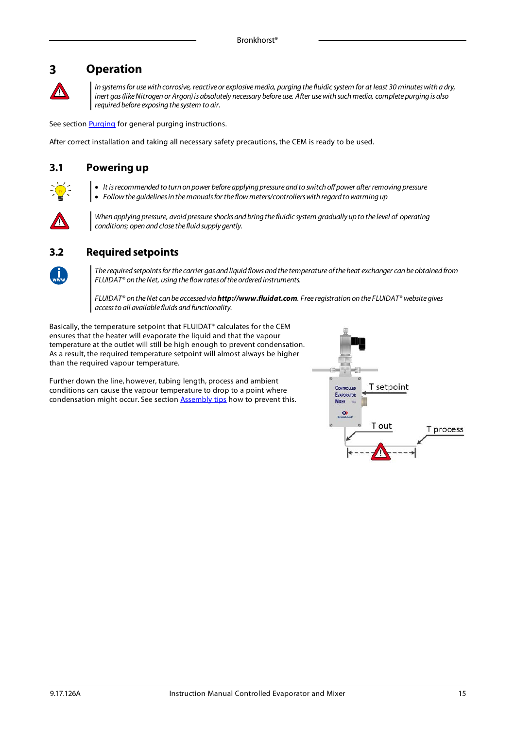# <span id="page-14-0"></span>**3 Operation**



In systems for use with corrosive, reactive or explosive media, purging the fluidic system for at least 30 minutes with a dry, inert gas (like Nitrogen or Argon) is absolutely necessary before use. After use with such media, complete purging is also required before exposing the system to air.

See section **Purging** for general purging instructions.

After correct installation and taking all necessary safety precautions, the CEM is ready to be used.

### <span id="page-14-1"></span>**3.1 Powering up**



· It is recommended to turn on power before applying pressure and to switch off power after removing pressure

• Follow the quidelines in the manuals for the flow meters/controllers with regard to warming up



When applying pressure, avoid pressure shocks and bring the fluidic system gradually up to the level of operating conditions; open and close the fluid supply gently.

### <span id="page-14-2"></span>**3.2 Required setpoints**



The required setpoints for the carrier gas and liquid flows and the temperature of the heat exchanger can be obtained from FLUIDAT® on the Net, using the flow rates of the ordered instruments.

*FLUIDAT® on the Net can be accessed via* **http://www.fluidat.com**. Free registration on the FLUIDAT® website gives access to all available fluids and functionality.

Basically, the temperature setpoint that FLUIDAT® calculates for the CEM ensures that the heater will evaporate the liquid and that the vapour temperature at the outlet will still be high enough to prevent condensation. As a result, the required temperature setpoint will almost always be higher than the required vapour temperature.

Further down the line, however, tubing length, process and ambient conditions can cause the vapour temperature to drop to a point where condensation might occur. See section **Assembly tips** how to prevent this.

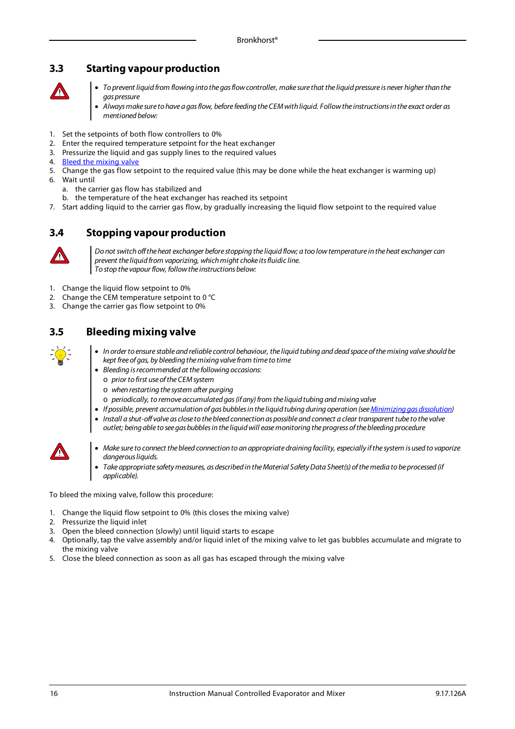# <span id="page-15-0"></span>**3.3 Starting vapour production**



- · To prevent liquid from flowing into the gas flow controller, make sure that the liquid pressure is never higher than the gas pressure
- Always make sure to have a gas flow, before feeding the CEM with liquid. Follow the instructions in the exact order as mentioned below:
- 1. Set the setpoints of both flow controllers to 0%
- 2. Enter the required temperature setpoint for the heat exchanger
- 3. Pressurize the liquid and gas supply lines to the required values
- 4. [Bleed the mixing valve](#page-15-2)
- 5. Change the gas flow setpoint to the required value (this may be done while the heat exchanger is warming up)
- 6. Wait until
	- a. the carrier gas flow has stabilized and
	- b. the temperature of the heat exchanger has reached its setpoint
- 7. Start adding liquid to the carrier gas flow, by gradually increasing the liquid flow setpoint to the required value

### <span id="page-15-1"></span>**3.4 Stopping vapour production**



Do not switch off the heat exchanger before stopping the liquid flow; a too low temperature in the heat exchanger can prevent the liquid from vaporizing, which might choke its fluidic line. To stop the vapour flow, follow the instructions below:

- 1. Change the liquid flow setpoint to 0%
- 2. Change the CEM temperature setpoint to 0 °C
- 3. Change the carrier gas flow setpoint to 0%

# <span id="page-15-2"></span>**3.5 Bleeding mixing valve**



- · In order to ensure stable and reliable control behaviour, the liquid tubing and dead space of the mixing valve should be kept free of gas, by bleeding the mixing valve from time to time
- · Bleeding is recommended at the following occasions:
	- o prior to first use of the CEM system
	- o when restarting the system after purging
	- o periodically, to remove accumulated gas (if any) from the liquid tubing and mixing valve
- If possible, prevent accumulation of gas bubbles in the liquid tubing during operation (see [Minimizing gas dissolution](#page-12-4))
- · Install a shut-off valve as close to the bleed connection as possible and connect a clear transparent tube to the valve outlet; being able to see gas bubbles in the liquid will ease monitoring the progress of the bleeding procedure



- Make sure to connect the bleed connection to an appropriate draining facility, especially if the system is used to vaporize dangerous liquids.
- · Take appropriate safety measures, as described in the Material Safety Data Sheet(s) of the media to be processed (if applicable).

To bleed the mixing valve, follow this procedure:

- 1. Change the liquid flow setpoint to 0% (this closes the mixing valve)
- 2. Pressurize the liquid inlet
- 3. Open the bleed connection (slowly) until liquid starts to escape
- 4. Optionally, tap the valve assembly and/or liquid inlet of the mixing valve to let gas bubbles accumulate and migrate to the mixing valve
- 5. Close the bleed connection as soon as all gas has escaped through the mixing valve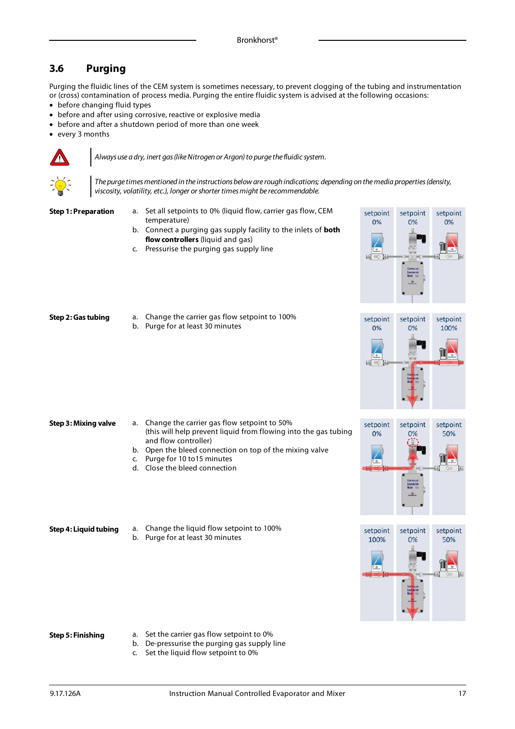# <span id="page-16-0"></span>**3.6 Purging**

Purging the fluidic lines of the CEM system is sometimes necessary, to prevent clogging of the tubing and instrumentation or (cross) contamination of process media. Purging the entire fluidic system is advised at the following occasions:

- · before changing fluid types
- · before and after using corrosive, reactive or explosive media
- · before and after a shutdown period of more than one week
- · every 3 months



Always use a dry, inert gas (like Nitrogen or Argon) to purge the fluidic system.



The purge times mentioned in the instructions below are rough indications; depending on the media properties (density, viscosity, volatility, etc.), longer or shorter times might be recommendable.

- **Step 1: Preparation** a. Set all setpoints to 0% (liquid flow, carrier gas flow, CEM temperature)
	- b. Connect a purging gas supply facility to the inlets of **both flow controllers** (liquid and gas)
	- c. Pressurise the purging gas supply line



- **Step 2: Gas tubing** a. Change the carrier gas flow setpoint to 100%<br>b. Purge for at least 30 minutes
	- Purge for at least 30 minutes



- **Step 3: Mixing valve** a. Change the carrier gas flow setpoint to 50% (this will help prevent liquid from flowing into the gas tubing and flow controller)
	- b. Open the bleed connection on top of the mixing valve
	- c. Purge for 10 to15 minutes
	- d. Close the bleed connection

- **Step 4: Liquid tubing** a. Change the liquid flow setpoint to 100%
	- b. Purge for at least 30 minutes



- **Step 5: Finishing** a. Set the carrier gas flow setpoint to 0%
	- b. De-pressurise the purging gas supply line
	- c. Set the liquid flow setpoint to 0%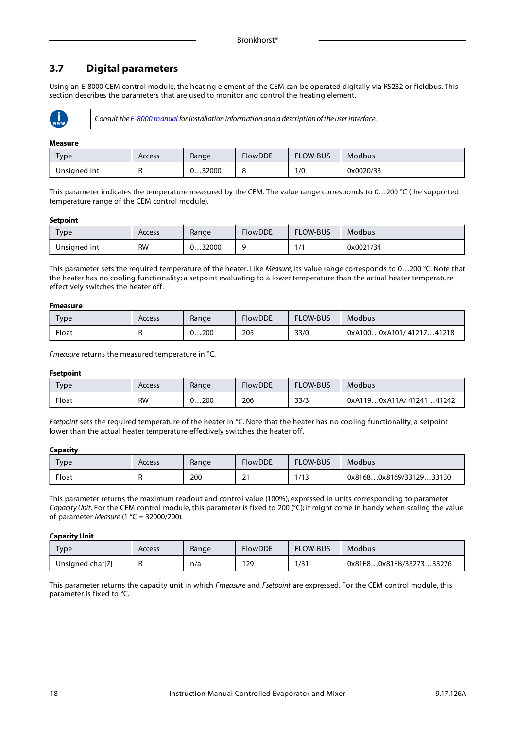# <span id="page-17-0"></span>**3.7 Digital parameters**

Using an E-8000 CEM control module, the heating element of the CEM can be operated digitally via RS232 or fieldbus. This section describes the parameters that are used to monitor and control the heating element.



Consult th[e E-8000 manual](#page-8-0) for installation information and a description of the user interface.

**Measure**

| Type         | Access | Range  | <b>FlowDDE</b> | <b>FLOW-BUS</b> | Modbus    |
|--------------|--------|--------|----------------|-----------------|-----------|
| Unsigned int | .,     | 032000 |                | 1/0             | 0x0020/33 |

This parameter indicates the temperature measured by the CEM. The value range corresponds to  $0...200$  °C (the supported temperature range of the CEM control module).

#### **Setpoint**

| Type         | Access | Range  | <b>FlowDDE</b> | <b>FLOW-BUS</b> | Modbus    |
|--------------|--------|--------|----------------|-----------------|-----------|
| Unsianed int | RW     | 032000 |                | $\mathbf{L}$    | 0x0021/34 |

This parameter sets the required temperature of the heater. Like Measure, its value range corresponds to 0...200 °C. Note that the heater has no cooling functionality; a setpoint evaluating to a lower temperature than the actual heater temperature effectively switches the heater off.

#### **Fmeasure**

| Type  | Access | Range | FlowDDE | <b>FLOW-BUS</b> | Modbus                  |
|-------|--------|-------|---------|-----------------|-------------------------|
| Float |        | 0200  | 205     | 33/0            | 0xA1000xA101/4121741218 |

Fmeasure returns the measured temperature in °C.

#### **Fsetpoint**

| Type  | Access    | Range | <b>FlowDDE</b> | <b>FLOW-BUS</b> | Modbus                  |
|-------|-----------|-------|----------------|-----------------|-------------------------|
| Float | <b>RW</b> | 0200  | 206            | 33/3            | 0xA1190xA11A/4124141242 |

Fsetpoint sets the required temperature of the heater in °C. Note that the heater has no cooling functionality; a setpoint lower than the actual heater temperature effectively switches the heater off.

#### **Capacity**

| Type  | Access | Range | FlowDDE       | <b>FLOW-BUS</b> | Modbus                  |
|-------|--------|-------|---------------|-----------------|-------------------------|
| Float |        | 200   | $\sim$<br>- 1 | 1/13            | 0x81680x8169/3312933130 |

This parameter returns the maximum readout and control value (100%), expressed in units corresponding to parameter Capacity Unit. For the CEM control module, this parameter is fixed to 200 (°C); it might come in handy when scaling the value of parameter Measure (1 °C = 32000/200).

#### **Capacity Unit**

| Type                         | Access | Range | FlowDDE | <b>FLOW-BUS</b> | Modbus                  |
|------------------------------|--------|-------|---------|-----------------|-------------------------|
| Unsigned char <sup>[7]</sup> |        | n/a   | 129     | 1/31            | 0x81F80x81FB/3327333276 |

This parameter returns the capacity unit in which Fmeasure and Fsetpoint are expressed. For the CEM control module, this parameter is fixed to °C.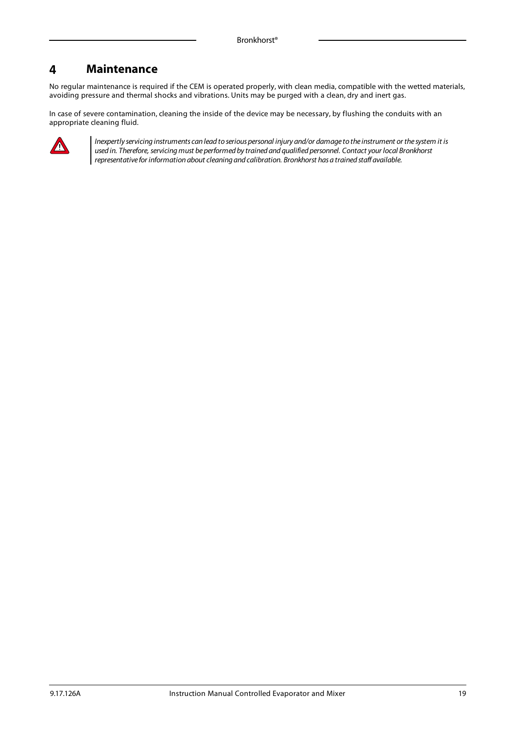# <span id="page-18-0"></span>**4 Maintenance**

No regular maintenance is required if the CEM is operated properly, with clean media, compatible with the wetted materials, avoiding pressure and thermal shocks and vibrations. Units may be purged with a clean, dry and inert gas.

In case of severe contamination, cleaning the inside of the device may be necessary, by flushing the conduits with an appropriate cleaning fluid.



Inexpertly servicing instruments can lead to serious personal injury and/or damage to the instrument or the system it is used in. Therefore, servicing must be performed by trained and qualified personnel. Contact your local Bronkhorst representative for information about cleaning and calibration. Bronkhorst has a trained staff available.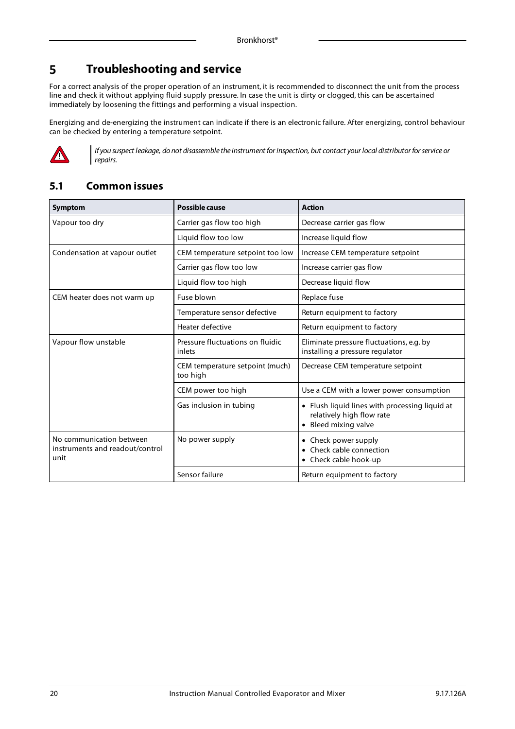# <span id="page-19-0"></span>**5 Troubleshooting and service**

For a correct analysis of the proper operation of an instrument, it is recommended to disconnect the unit from the process line and check it without applying fluid supply pressure. In case the unit is dirty or clogged, this can be ascertained immediately by loosening the fittings and performing a visual inspection.

Energizing and de-energizing the instrument can indicate if there is an electronic failure. After energizing, control behaviour can be checked by entering a temperature setpoint.



If you suspect leakage, do not disassemble the instrument for inspection, but contact your local distributor for service or repairs.

# <span id="page-19-1"></span>**5.1 Common issues**

| Symptom                                                             | Possible cause                              | <b>Action</b>                                                                                          |  |  |
|---------------------------------------------------------------------|---------------------------------------------|--------------------------------------------------------------------------------------------------------|--|--|
| Vapour too dry                                                      | Carrier gas flow too high                   | Decrease carrier gas flow                                                                              |  |  |
|                                                                     | Liquid flow too low                         | Increase liquid flow                                                                                   |  |  |
| Condensation at vapour outlet                                       | CEM temperature setpoint too low            | Increase CEM temperature setpoint                                                                      |  |  |
|                                                                     | Carrier gas flow too low                    | Increase carrier gas flow                                                                              |  |  |
|                                                                     | Liquid flow too high                        | Decrease liquid flow                                                                                   |  |  |
| CEM heater does not warm up                                         | Fuse blown                                  | Replace fuse                                                                                           |  |  |
|                                                                     | Temperature sensor defective                | Return equipment to factory                                                                            |  |  |
|                                                                     | Heater defective                            | Return equipment to factory                                                                            |  |  |
| Vapour flow unstable                                                | Pressure fluctuations on fluidic<br>inlets  | Eliminate pressure fluctuations, e.g. by<br>installing a pressure regulator                            |  |  |
|                                                                     | CEM temperature setpoint (much)<br>too high | Decrease CEM temperature setpoint                                                                      |  |  |
|                                                                     | CEM power too high                          | Use a CEM with a lower power consumption                                                               |  |  |
|                                                                     | Gas inclusion in tubing                     | • Flush liquid lines with processing liquid at<br>relatively high flow rate<br>Bleed mixing valve<br>٠ |  |  |
| No communication between<br>instruments and readout/control<br>unit | No power supply                             | Check power supply<br>٠<br>Check cable connection<br>• Check cable hook-up                             |  |  |
|                                                                     | Sensor failure                              | Return equipment to factory                                                                            |  |  |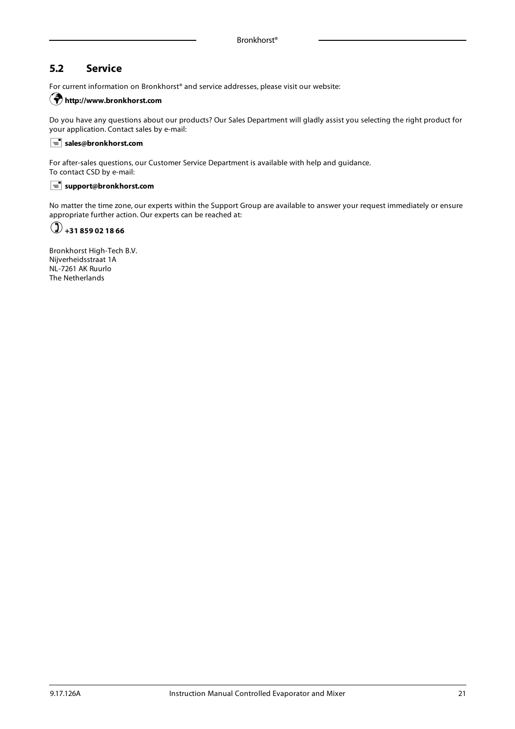# <span id="page-20-0"></span>**5.2 Service**

For current information on Bronkhorst® and service addresses, please visit our website:

### **<http://www.bronkhorst.com>**

Do you have any questions about our products? Our Sales Department will gladly assist you selecting the right product for your application. Contact sales by e-mail:

#### $\equiv$  [sales@bronkhorst.com](mailto:sales@bronkhorst.com)

For after-sales questions, our Customer Service Department is available with help and guidance. To contact CSD by e-mail:

#### $\boxed{\equiv}$  [support@bronkhorst.com](mailto:support@bronkhorst.com)

No matter the time zone, our experts within the Support Group are available to answer your request immediately or ensure appropriate further action. Our experts can be reached at:

# **+31 859 02 18 66**

Bronkhorst High-Tech B.V. Nijverheidsstraat 1A NL-7261 AK Ruurlo The Netherlands